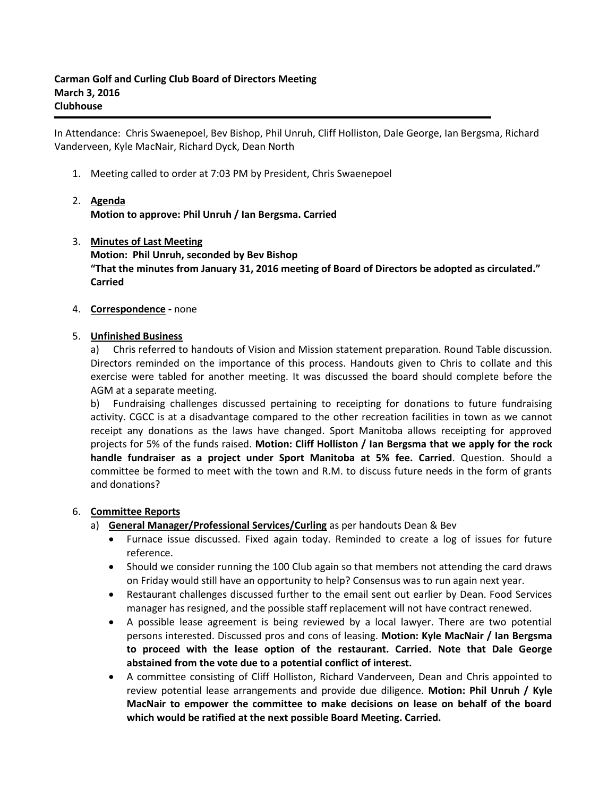In Attendance: Chris Swaenepoel, Bev Bishop, Phil Unruh, Cliff Holliston, Dale George, Ian Bergsma, Richard Vanderveen, Kyle MacNair, Richard Dyck, Dean North

- 1. Meeting called to order at 7:03 PM by President, Chris Swaenepoel
- 2. **Agenda Motion to approve: Phil Unruh / Ian Bergsma. Carried**
- 3. **Minutes of Last Meeting Motion: Phil Unruh, seconded by Bev Bishop "That the minutes from January 31, 2016 meeting of Board of Directors be adopted as circulated." Carried**
- 4. **Correspondence -** none

# 5. **Unfinished Business**

a) Chris referred to handouts of Vision and Mission statement preparation. Round Table discussion. Directors reminded on the importance of this process. Handouts given to Chris to collate and this exercise were tabled for another meeting. It was discussed the board should complete before the AGM at a separate meeting.

b) Fundraising challenges discussed pertaining to receipting for donations to future fundraising activity. CGCC is at a disadvantage compared to the other recreation facilities in town as we cannot receipt any donations as the laws have changed. Sport Manitoba allows receipting for approved projects for 5% of the funds raised. **Motion: Cliff Holliston / Ian Bergsma that we apply for the rock handle fundraiser as a project under Sport Manitoba at 5% fee. Carried**. Question. Should a committee be formed to meet with the town and R.M. to discuss future needs in the form of grants and donations?

# 6. **Committee Reports**

- a) **General Manager/Professional Services/Curling** as per handouts Dean & Bev
	- Furnace issue discussed. Fixed again today. Reminded to create a log of issues for future reference.
	- Should we consider running the 100 Club again so that members not attending the card draws on Friday would still have an opportunity to help? Consensus was to run again next year.
	- Restaurant challenges discussed further to the email sent out earlier by Dean. Food Services manager has resigned, and the possible staff replacement will not have contract renewed.
	- A possible lease agreement is being reviewed by a local lawyer. There are two potential persons interested. Discussed pros and cons of leasing. **Motion: Kyle MacNair / Ian Bergsma to proceed with the lease option of the restaurant. Carried. Note that Dale George abstained from the vote due to a potential conflict of interest.**
	- A committee consisting of Cliff Holliston, Richard Vanderveen, Dean and Chris appointed to review potential lease arrangements and provide due diligence. **Motion: Phil Unruh / Kyle MacNair to empower the committee to make decisions on lease on behalf of the board which would be ratified at the next possible Board Meeting. Carried.**